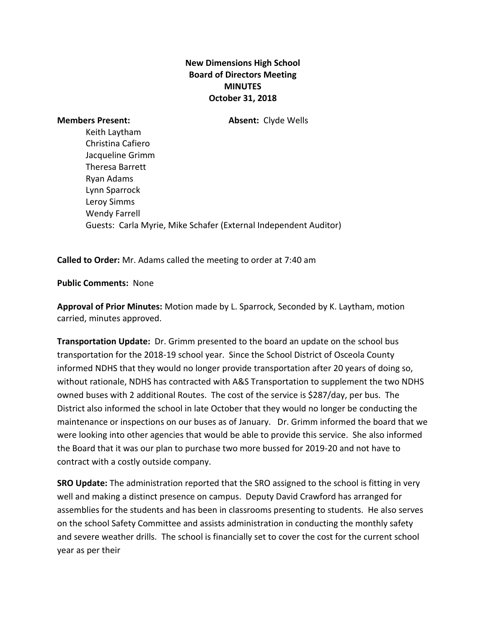## **New Dimensions High School Board of Directors Meeting MINUTES October 31, 2018**

**Members Present: Absent:** Clyde Wells

Keith Laytham Christina Cafiero Jacqueline Grimm Theresa Barrett Ryan Adams Lynn Sparrock Leroy Simms Wendy Farrell Guests: Carla Myrie, Mike Schafer (External Independent Auditor)

**Called to Order:** Mr. Adams called the meeting to order at 7:40 am

**Public Comments:** None

**Approval of Prior Minutes:** Motion made by L. Sparrock, Seconded by K. Laytham, motion carried, minutes approved.

**Transportation Update:** Dr. Grimm presented to the board an update on the school bus transportation for the 2018-19 school year. Since the School District of Osceola County informed NDHS that they would no longer provide transportation after 20 years of doing so, without rationale, NDHS has contracted with A&S Transportation to supplement the two NDHS owned buses with 2 additional Routes. The cost of the service is \$287/day, per bus. The District also informed the school in late October that they would no longer be conducting the maintenance or inspections on our buses as of January. Dr. Grimm informed the board that we were looking into other agencies that would be able to provide this service. She also informed the Board that it was our plan to purchase two more bussed for 2019-20 and not have to contract with a costly outside company.

**SRO Update:** The administration reported that the SRO assigned to the school is fitting in very well and making a distinct presence on campus. Deputy David Crawford has arranged for assemblies for the students and has been in classrooms presenting to students. He also serves on the school Safety Committee and assists administration in conducting the monthly safety and severe weather drills. The school is financially set to cover the cost for the current school year as per their